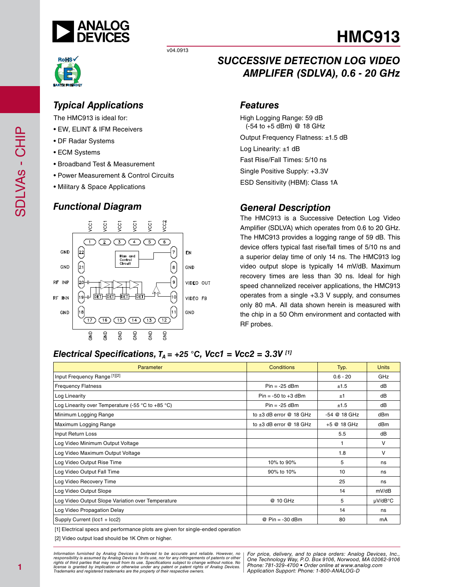

v04.0913



## *Typical Applications*

The HMC913 is ideal for:

- EW, ELINT & IFM Receivers
- DF Radar Systems
- ECM Systems
- Broadband Test & Measurement
- Power Measurement & Control Circuits
- Military & Space Applications

## *Functional Diagram*



## *SUCCESSIVE DETECTION LOG VIDEO AMPLIFER (SDLVA), 0.6 - 20 GHz*

#### *Features*

High Logging Range: 59 dB (-54 to +5 dBm) @ 18 GHz Output Frequency Flatness: ±1.5 dB Log Linearity: ±1 dB Fast Rise/Fall Times: 5/10 ns Single Positive Supply: +3.3V ESD Sensitivity (HBM): Class 1A

## *General Description*

The HMC913 is a Successive Detection Log Video Amplifier (SDLVA) which operates from 0.6 to 20 GHz. The HMC913 provides a logging range of 59 dB. This device offers typical fast rise/fall times of 5/10 ns and a superior delay time of only 14 ns. The HMC913 log video output slope is typically 14 mV/dB. Maximum recovery times are less than 30 ns. Ideal for high speed channelized receiver applications, the HMC913 operates from a single +3.3 V supply, and consumes only 80 mA. All data shown herein is measured with the chip in a 50 Ohm environment and contacted with RF probes.

### *Electrical Specifications,*  $T_A$  = +25 °C, Vcc1 = Vcc2 = 3.3V <sup>[1]</sup>

| Parameter                                                           | <b>Conditions</b>            | Typ.         | <b>Units</b> |
|---------------------------------------------------------------------|------------------------------|--------------|--------------|
| Input Frequency Range [1][2]                                        |                              | $0.6 - 20$   | GHz          |
| <b>Frequency Flatness</b>                                           | $Pin = -25$ dBm              | ±1.5         | dB           |
| Log Linearity                                                       | $Pin = -50$ to $+3$ dBm      | ±1           | dB           |
| Log Linearity over Temperature (-55 $\degree$ C to +85 $\degree$ C) | $Pin = -25$ dBm              | ±1.5         | dB           |
| Minimum Logging Range                                               | to $\pm 3$ dB error @ 18 GHz | -54 @ 18 GHz | dBm          |
| Maximum Logging Range                                               | to $\pm 3$ dB error @ 18 GHz | +5 @ 18 GHz  | dBm          |
| Input Return Loss                                                   |                              | 5.5          | dB           |
| Log Video Minimum Output Voltage                                    |                              | 1            | v            |
| Log Video Maximum Output Voltage                                    |                              | 1.8          | v            |
| Log Video Output Rise Time                                          | 10% to 90%                   | 5            | ns           |
| Log Video Output Fall Time                                          | 90% to 10%                   | 10           | ns           |
| Log Video Recovery Time                                             |                              | 25           | ns           |
| Log Video Output Slope                                              |                              | 14           | mV/dB        |
| Log Video Output Slope Variation over Temperature                   | @ 10 GHz                     | 5            | $\mu$ V/dB°C |
| Log Video Propagation Delay                                         |                              | 14           | ns           |
| Supply Current (Icc1 + Icc2)                                        | $@$ Pin = -30 dBm            | 80           | mA           |

[1] Electrical specs and performance plots are given for single-ended operation

[2] Video output load should be 1K Ohm or higher.

*Formation iurnished by Analog Devices is believed to be accurate and reliable. However, no Hor price, delivery, and to place orders: Analog Devices, In<br>roonsibility is assumed by Analog Devices for its use, nor for any pressult from its use. Specifications subject to change without notice. No*<br>ation or otherwise under any patent or patent rights of Analog Devices Phone: 781-329-4700 • Order online at ww *e* the property of their respective owners. **Application Support: Phone: 1-8** *Information furnished by Analog Devices is believed to be accurate and reliable. However, no*  responsibility is assumed by Analog Devices for its use, nor for any infringements of patents or other<br>rights of third parties that may result from its use. Specifications subject to change without notice. No<br>license is gr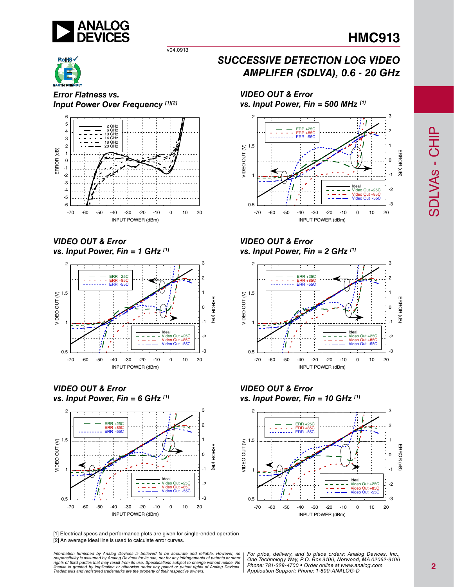

1

2 3

*Error Flatness vs. Input Power Over Frequency [1][2]*

v04.0913



*VIDEO OUT & Error vs. Input Power, Fin = 1 GHz [1]*



*VIDEO OUT & Error vs. Input Power, Fin = 6 GHz [1]*



#### [1] Electrical specs and performance plots are given for single-ended operation [2] An average ideal line is used to calculate error curves.

*Formation iurnished by Analog Devices is believed to be accurate and reliable. However, no Hor price, delivery, and to place orders: Analog Devices, In<br>roonsibility is assumed by Analog Devices for its use, nor for any pressult from its use. Specifications subject to change without notice. No*<br>ation or otherwise under any patent or patent rights of Analog Devices Phone: 781-329-4700 • Order online at ww *e* the property of their respective owners. **Application Support: Phone: 1-8** Information furnished by Analog Devices is believed to be accurate and reliable. However, no<br>responsibility is assumed by Analog Devices for its use, nor for any infringements of patents or other<br>rights of third parties th

## *SUCCESSIVE DETECTION LOG VIDEO AMPLIFER (SDLVA), 0.6 - 20 GHz*





## *VIDEO OUT & Error*

*vs. Input Power, Fin = 2 GHz [1]*



*VIDEO OUT & Error vs. Input Power, Fin = 10 GHz [1]*

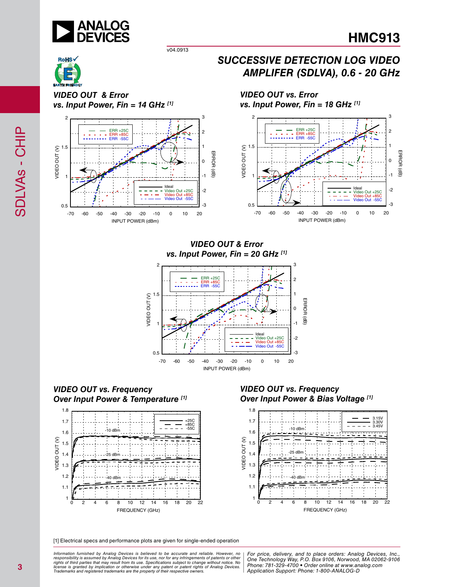

*SUCCESSIVE DETECTION LOG VIDEO* 

*VIDEO OUT vs. Error* 

*AMPLIFER (SDLVA), 0.6 - 20 GHz*

v04.0913

*VIDEO OUT & Error vs. Input Power, Fin = 14 GHz [1]*



*VIDEO OUT & Error vs. Input Power, Fin = 20 GHz [1]*



*VIDEO OUT vs. Frequency Over Input Power & Temperature [1]*



*VIDEO OUT vs. Frequency Over Input Power & Bias Voltage [1]*



[1] Electrical specs and performance plots are given for single-ended operation

ormation furnished by Analog Devices is believed to be accurate and reliable. However, no | For price, delivery, and to place orders: Analog Devices, Inc.,<br>popsibility is assumed by Analog Devices for its use, not for any *pressult from its use. Specifications subject to change without notice. No*<br>ation or otherwise under any patent or patent rights of Analog Devices Phone: 781-329-4700 • Order online at ww *e* the property of their respective owners. **Application Support: Phone: 1-8** *Information furnished by Analog Devices is believed to be accurate and reliable. However, no*  responsibility is assumed by Analog Devices for its use, nor for any infringements of patents or other<br>rights of third parties that may result from its use. Specifications subject to change without notice. No<br>license is gr

*Phone: 781-329-4700 • Order online at www.analog.com Application Support: Phone: 1-800-ANALOG-D*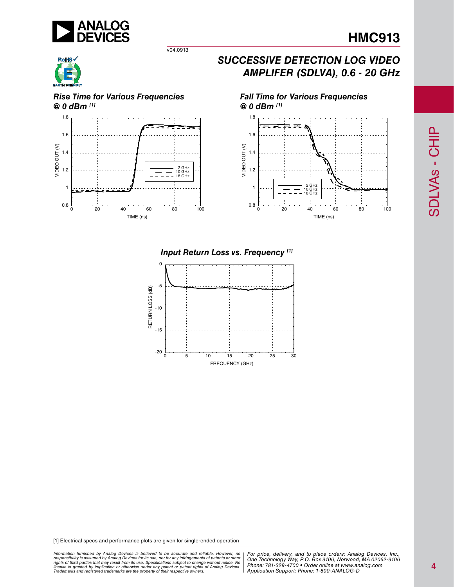

v04.0913

## *SUCCESSIVE DETECTION LOG VIDEO AMPLIFER (SDLVA), 0.6 - 20 GHz*

*Fall Time for Various Frequencies*







*@ 0 dBm [1]* 1.8 1.6 VIDEO OUT (V) VIDEO OUT (V) 1.4 1.2



#### *Input Return Loss vs. Frequency [1]*



[1] Electrical specs and performance plots are given for single-ended operation

*Formation iurnished by Analog Devices is believed to be accurate and reliable. However, no Hor price, delivery, and to place orders: Analog Devices, In<br>roonsibility is assumed by Analog Devices for its use, nor for any pressult from its use. Specifications subject to change without notice. No*<br>ation or otherwise under any patent or patent rights of Analog Devices Phone: 781-329-4700 • Order online at ww *e* the property of their respective owners. **Application Support: Phone: 1-8** Information furnished by Analog Devices is believed to be accurate and reliable. However, no<br>responsibility is assumed by Analog Devices for its use, nor for any infringements of patents or other<br>rights of third parties th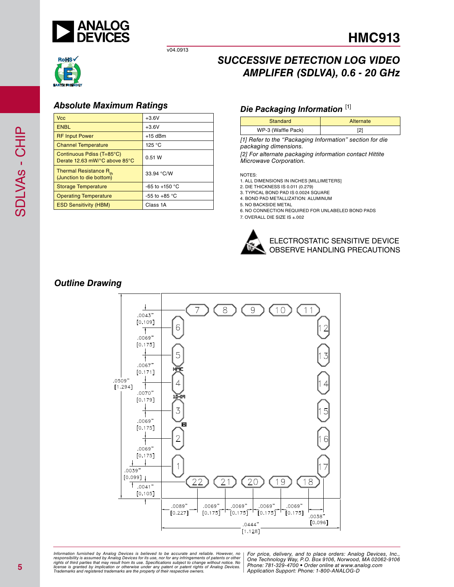



v04.0913

## *Absolute Maximum Ratings*

| <b>Vcc</b>                                                     | $+3.6V$                  |
|----------------------------------------------------------------|--------------------------|
| <b>ENBL</b>                                                    | $+3.6V$                  |
| <b>RF Input Power</b>                                          | $+15$ dBm                |
| <b>Channel Temperature</b>                                     | 125 °C                   |
| Continuous Pdiss (T=85°C)<br>Derate 12.63 mW/°C above 85°C     | 0.51 W                   |
| Thermal Resistance R <sub>th</sub><br>(Junction to die bottom) | 33.94 °C/W               |
| <b>Storage Temperature</b>                                     | -65 to +150 $^{\circ}$ C |
| <b>Operating Temperature</b>                                   | -55 to +85 $^{\circ}$ C  |
| <b>ESD Sensitivity (HBM)</b>                                   | Class 1A                 |
|                                                                |                          |

## *SUCCESSIVE DETECTION LOG VIDEO AMPLIFER (SDLVA), 0.6 - 20 GHz*

#### **Die Packaging Information** [1]

| Standard           | Alternate |
|--------------------|-----------|
| WP-3 (Waffle Pack) |           |

*[1] Refer to the "Packaging Information" section for die packaging dimensions.*

*[2] For alternate packaging information contact Hittite Microwave Corporation.*

NOTES:

1. ALL DIMENSIONS IN INCHES [MILLIMETERS]

2. DIE THICKNESS IS 0.011 (0.279)

3. TYPICAL BOND PAD IS 0.0024 SQUARE 4. BOND PAD METALLIZATION: ALUMINUM

5. NO BACKSIDE METAL

6. NO CONNECTION REQUIRED FOR UNLABELED BOND PADS

7. OVERALL DIE SIZE IS ±.002



## *Outline Drawing*



ormation furnished by Analog Devices is believed to be accurate and reliable. However, no | For price, delivery, and to place orders: Analog Devices, Inc.,<br>popsibility is assumed by Analog Devices for its use, not for any *pressult from its use. Specifications subject to change without notice. No*<br>ation or otherwise under any patent or patent rights of Analog Devices Phone: 781-329-4700 • Order online at ww *e* the property of their respective owners. **Application Support: Phone: 1-8** *Information furnished by Analog Devices is believed to be accurate and reliable. However, no*  responsibility is assumed by Analog Devices for its use, nor for any infringements of patents or other<br>rights of third parties that may result from its use. Specifications subject to change without notice. No<br>license is gr

*Phone: 781-329-4700 • Order online at www.analog.com Application Support: Phone: 1-800-ANALOG-D*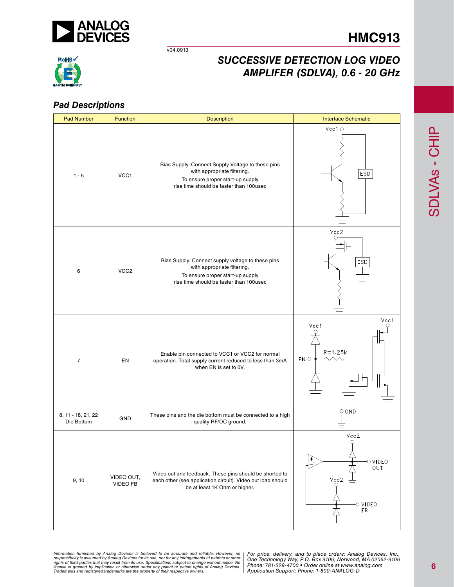

v04.0913

# **RoHS**

## *SUCCESSIVE DETECTION LOG VIDEO AMPLIFER (SDLVA), 0.6 - 20 GHz*

## *Pad Descriptions*

| <b>Pad Number</b>                | <b>Function</b>        | <b>Description</b>                                                                                                                                              | <b>Interface Schematic</b>                                                 |
|----------------------------------|------------------------|-----------------------------------------------------------------------------------------------------------------------------------------------------------------|----------------------------------------------------------------------------|
| $1 - 5$                          | VCC1                   | Bias Supply. Connect Supply Voltage to these pins<br>with appropriate filtering.<br>To ensure proper start-up supply<br>rise time should be faster than 100usec | Vcc1 $\circ$<br>ESD                                                        |
| 6                                | VCC <sub>2</sub>       | Bias Supply. Connect supply voltage to these pins<br>with appropriate filtering.<br>To ensure proper start-up supply<br>rise time should be faster than 100usec | Vcc2<br><b>ESD</b>                                                         |
| $\overline{7}$                   | EN                     | Enable pin connected to VCC1 or VCC2 for normal<br>operation. Total supply current reduced to less than 3mA<br>when EN is set to 0V.                            | Vcc1<br>Vcc1<br>$R = 1.25k$<br>EN C                                        |
| 8, 11 - 18, 21, 22<br>Die Bottom | GND                    | These pins and the die bottom must be connected to a high<br>quality RF/DC ground.                                                                              | $Q$ GND                                                                    |
| 9, 10                            | VIDEO OUT,<br>VIDEO FB | Video out and feedback. These pins should be shorted to<br>each other (see application circuit). Video out load should<br>be at least 1K Ohm or higher.         | Vcc2<br>$\varphi$<br>$\circ$ video<br>OUT<br>Vcc2<br>O VIDEO<br>${\sf FB}$ |

*Formation iurnished by Analog Devices is believed to be accurate and reliable. However, no Hor price, delivery, and to place orders: Analog Devices, In<br>roonsibility is assumed by Analog Devices for its use, nor for any pressult from its use. Specifications subject to change without notice. No*<br>ation or otherwise under any patent or patent rights of Analog Devices Phone: 781-329-4700 • Order online at ww *e* the property of their respective owners. **Application Support: Phone: 1-8** Information furnished by Analog Devices is believed to be accurate and reliable. However, no<br>responsibility is assumed by Analog Devices for its use, nor for any infringements of patents or other<br>rights of third parties th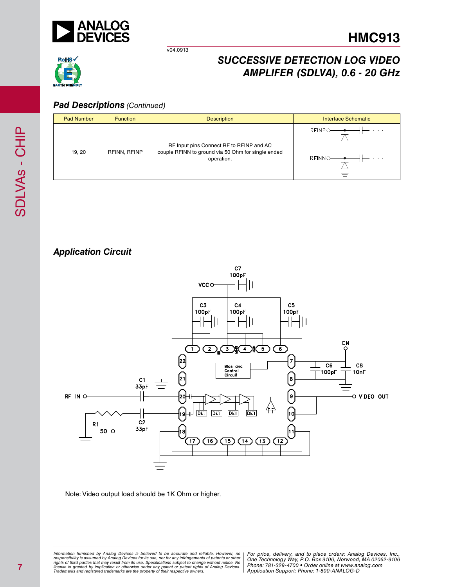

v04.0913

## *SUCCESSIVE DETECTION LOG VIDEO AMPLIFER (SDLVA), 0.6 - 20 GHz*



## *Pad Descriptions (Continued)*

| <b>Pad Number</b> | <b>Function</b> | <b>Description</b>                                                                                           | <b>Interface Schematic</b> |
|-------------------|-----------------|--------------------------------------------------------------------------------------------------------------|----------------------------|
| 19, 20            | RFINN, RFINP    | RF Input pins Connect RF to RFINP and AC<br>couple RFINN to ground via 50 Ohm for single ended<br>operation. | $RFINPO-$<br><b>RFINNO</b> |

## *Application Circuit*



Note: Video output load should be 1K Ohm or higher.

*Formation iurnished by Analog Devices is believed to be accurate and reliable. However, no Hor price, delivery, and to place orders: Analog Devices, In<br>roonsibility is assumed by Analog Devices for its use, nor for any pressult from its use. Specifications subject to change without notice. No*<br>ation or otherwise under any patent or patent rights of Analog Devices Phone: 781-329-4700 • Order online at ww *e* the property of their respective owners. **Application Support: Phone: 1-8** Information furnished by Analog Devices is believed to be accurate and reliable. However, no<br>responsibility is assumed by Analog Devices for its use, nor for any infringements of patents or other<br>rights of third parties th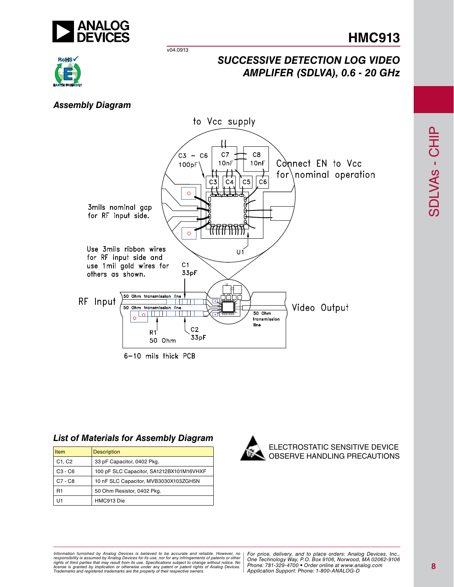

v04.0913



## *SUCCESSIVE DETECTION LOG VIDEO AMPLIFER (SDLVA), 0.6 - 20 GHz*

## *Assembly Diagram*



#### *List of Materials for Assembly Diagram*

| Item           | <b>Description</b>                       |
|----------------|------------------------------------------|
| C1, C2         | 33 pF Capacitor, 0402 Pkg.               |
| $C3 - C6$      | 100 pF SLC Capacitor, SA1212BX101M16VHXF |
| $C7 - C8$      | 10 nF SLC Capacitor, MVB3030X103ZGH5N    |
| R <sub>1</sub> | 50 Ohm Resistor, 0402 Pkg.               |
|                | HMC913 Die                               |



*Formation iurnished by Analog Devices is believed to be accurate and reliable. However, no Hor price, delivery, and to place orders: Analog Devices, In<br>roonsibility is assumed by Analog Devices for its use, nor for any pressult from its use. Specifications subject to change without notice. No*<br>ation or otherwise under any patent or patent rights of Analog Devices Phone: 781-329-4700 • Order online at ww *e* the property of their respective owners. **Application Support: Phone: 1-8** Information furnished by Analog Devices is believed to be accurate and reliable. However, no<br>responsibility is assumed by Analog Devices for its use, nor for any infringements of patents or other<br>rights of third parties th